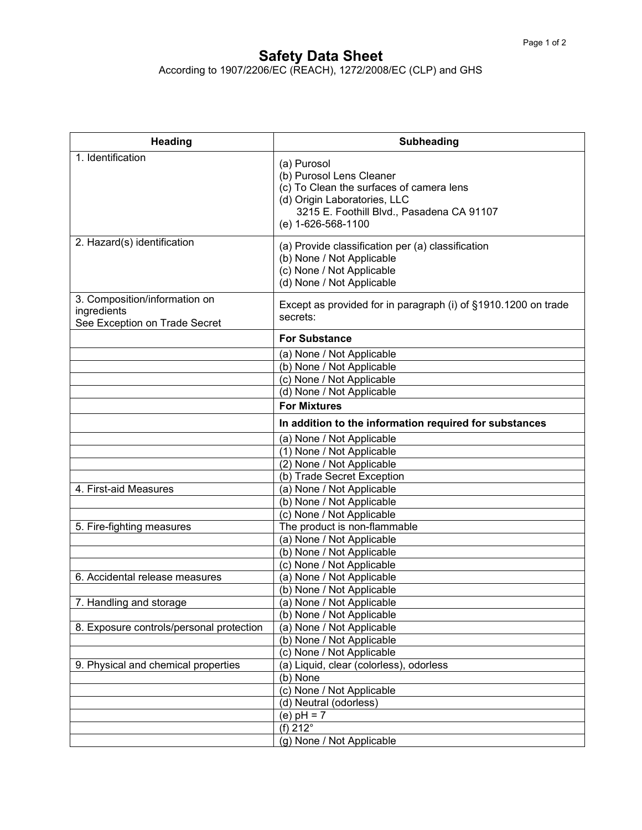## **Safety Data Sheet**

According to 1907/2206/EC (REACH), 1272/2008/EC (CLP) and GHS

| <b>Heading</b>                                                                | <b>Subheading</b>                                                                                                                                                                      |
|-------------------------------------------------------------------------------|----------------------------------------------------------------------------------------------------------------------------------------------------------------------------------------|
| 1. Identification                                                             | (a) Purosol<br>(b) Purosol Lens Cleaner<br>(c) To Clean the surfaces of camera lens<br>(d) Origin Laboratories, LLC<br>3215 E. Foothill Blvd., Pasadena CA 91107<br>(e) 1-626-568-1100 |
| 2. Hazard(s) identification                                                   | (a) Provide classification per (a) classification<br>(b) None / Not Applicable<br>(c) None / Not Applicable<br>(d) None / Not Applicable                                               |
| 3. Composition/information on<br>ingredients<br>See Exception on Trade Secret | Except as provided for in paragraph (i) of §1910.1200 on trade<br>secrets:                                                                                                             |
|                                                                               | <b>For Substance</b>                                                                                                                                                                   |
|                                                                               | (a) None / Not Applicable<br>(b) None / Not Applicable<br>(c) None / Not Applicable<br>(d) None / Not Applicable                                                                       |
|                                                                               | <b>For Mixtures</b>                                                                                                                                                                    |
|                                                                               | In addition to the information required for substances                                                                                                                                 |
|                                                                               | (a) None / Not Applicable                                                                                                                                                              |
|                                                                               | (1) None / Not Applicable                                                                                                                                                              |
|                                                                               | (2) None / Not Applicable                                                                                                                                                              |
|                                                                               | (b) Trade Secret Exception                                                                                                                                                             |
| 4. First-aid Measures                                                         | (a) None / Not Applicable<br>(b) None / Not Applicable                                                                                                                                 |
|                                                                               | (c) None / Not Applicable                                                                                                                                                              |
| 5. Fire-fighting measures                                                     | The product is non-flammable                                                                                                                                                           |
|                                                                               | (a) None / Not Applicable                                                                                                                                                              |
|                                                                               | (b) None / Not Applicable                                                                                                                                                              |
|                                                                               | (c) None / Not Applicable                                                                                                                                                              |
| 6. Accidental release measures                                                | (a) None / Not Applicable                                                                                                                                                              |
|                                                                               | (b) None / Not Applicable                                                                                                                                                              |
| 7. Handling and storage                                                       | (a) None / Not Applicable                                                                                                                                                              |
|                                                                               | (b) None / Not Applicable                                                                                                                                                              |
| 8. Exposure controls/personal protection                                      | (a) None / Not Applicable<br>(b) None / Not Applicable                                                                                                                                 |
|                                                                               | (c) None / Not Applicable                                                                                                                                                              |
| 9. Physical and chemical properties                                           | (a) Liquid, clear (colorless), odorless                                                                                                                                                |
|                                                                               | (b) None                                                                                                                                                                               |
|                                                                               | (c) None / Not Applicable                                                                                                                                                              |
|                                                                               | (d) Neutral (odorless)                                                                                                                                                                 |
|                                                                               | (e) $pH = 7$                                                                                                                                                                           |
|                                                                               | (f) $212^\circ$                                                                                                                                                                        |
|                                                                               | (g) None / Not Applicable                                                                                                                                                              |